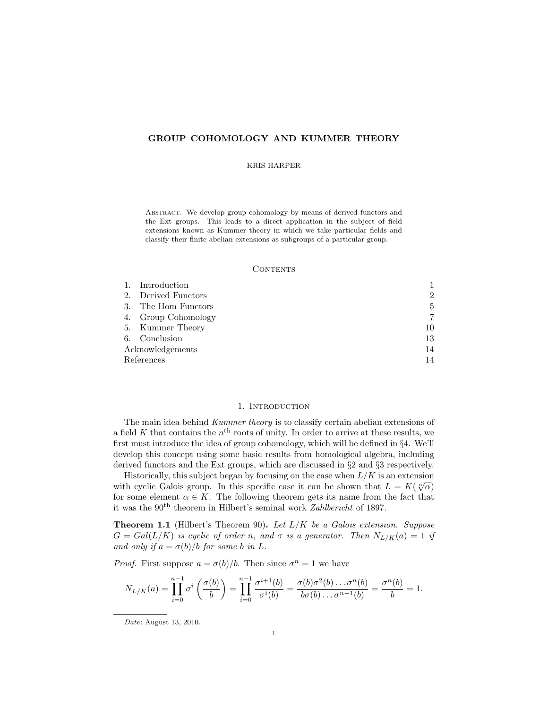# GROUP COHOMOLOGY AND KUMMER THEORY

#### KRIS HARPER

ABSTRACT. We develop group cohomology by means of derived functors and the Ext groups. This leads to a direct application in the subject of field extensions known as Kummer theory in which we take particular fields and classify their finite abelian extensions as subgroups of a particular group.

#### CONTENTS

|                  | 1. Introduction     |                |
|------------------|---------------------|----------------|
|                  | 2. Derived Functors | $\overline{2}$ |
| 3.               | The Hom Functors    | 5              |
|                  | 4. Group Cohomology | 7              |
|                  | 5. Kummer Theory    | 10             |
|                  | 6. Conclusion       | 13             |
| Acknowledgements |                     | 14             |
| References       |                     | 14             |

#### 1. INTRODUCTION

The main idea behind Kummer theory is to classify certain abelian extensions of a field K that contains the  $n<sup>th</sup>$  roots of unity. In order to arrive at these results, we first must introduce the idea of group cohomology, which will be defined in §4. We'll develop this concept using some basic results from homological algebra, including derived functors and the Ext groups, which are discussed in §2 and §3 respectively.

Historically, this subject began by focusing on the case when  $L/K$  is an extension instorting, this subject began by locusing on the case when  $L/K$  is an extension<br>with cyclic Galois group. In this specific case it can be shown that  $L = K(\sqrt[n]{\alpha})$ for some element  $\alpha \in K$ . The following theorem gets its name from the fact that it was the  $90<sup>th</sup>$  theorem in Hilbert's seminal work Zahlbericht of 1897.

**Theorem 1.1** (Hilbert's Theorem 90). Let  $L/K$  be a Galois extension. Suppose  $G = Gal(L/K)$  is cyclic of order n, and  $\sigma$  is a generator. Then  $N_{L/K}(a) = 1$  if and only if  $a = \sigma(b)/b$  for some b in L.

*Proof.* First suppose  $a = \sigma(b)/b$ . Then since  $\sigma^n = 1$  we have

$$
N_{L/K}(a) = \prod_{i=0}^{n-1} \sigma^i \left( \frac{\sigma(b)}{b} \right) = \prod_{i=0}^{n-1} \frac{\sigma^{i+1}(b)}{\sigma^i(b)} = \frac{\sigma(b)\sigma^2(b) \dots \sigma^n(b)}{b \sigma(b) \dots \sigma^{n-1}(b)} = \frac{\sigma^n(b)}{b} = 1.
$$

Date: August 13, 2010.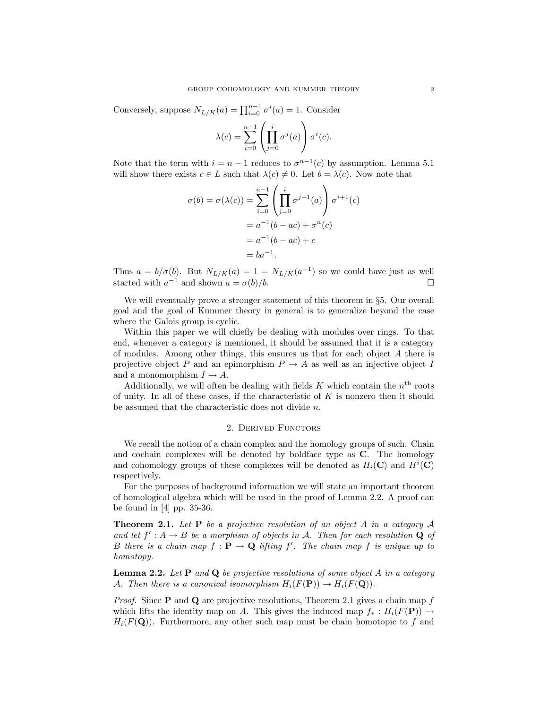Conversely, suppose  $N_{L/K}(a) = \prod_{i=0}^{n-1} \sigma^i(a) = 1$ . Consider

$$
\lambda(c) = \sum_{i=0}^{n-1} \left( \prod_{j=0}^{i} \sigma^{j}(a) \right) \sigma^{i}(c).
$$

Note that the term with  $i = n - 1$  reduces to  $\sigma^{n-1}(c)$  by assumption. Lemma 5.1 will show there exists  $c \in L$  such that  $\lambda(c) \neq 0$ . Let  $b = \lambda(c)$ . Now note that

$$
\sigma(b) = \sigma(\lambda(c)) = \sum_{i=0}^{n-1} \left( \prod_{j=0}^{i} \sigma^{j+1}(a) \right) \sigma^{i+1}(c)
$$

$$
= a^{-1}(b - ac) + \sigma^{n}(c)
$$

$$
= a^{-1}(b - ac) + c
$$

$$
= ba^{-1}.
$$

Thus  $a = b/\sigma(b)$ . But  $N_{L/K}(a) = 1 = N_{L/K}(a^{-1})$  so we could have just as well started with  $a^{-1}$  and shown  $a = \sigma(b)/b$ .

We will eventually prove a stronger statement of this theorem in §5. Our overall goal and the goal of Kummer theory in general is to generalize beyond the case where the Galois group is cyclic.

Within this paper we will chiefly be dealing with modules over rings. To that end, whenever a category is mentioned, it should be assumed that it is a category of modules. Among other things, this ensures us that for each object A there is projective object P and an epimorphism  $P \to A$  as well as an injective object I and a monomorphism  $I \rightarrow A$ .

Additionally, we will often be dealing with fields  $K$  which contain the  $n<sup>th</sup>$  roots of unity. In all of these cases, if the characteristic of  $K$  is nonzero then it should be assumed that the characteristic does not divide n.

#### 2. Derived Functors

We recall the notion of a chain complex and the homology groups of such. Chain and cochain complexes will be denoted by boldface type as C. The homology and cohomology groups of these complexes will be denoted as  $H_i(\mathbf{C})$  and  $H^i(\mathbf{C})$ respectively.

For the purposes of background information we will state an important theorem of homological algebra which will be used in the proof of Lemma 2.2. A proof can be found in [4] pp. 35-36.

**Theorem 2.1.** Let  $P$  be a projective resolution of an object A in a category A and let  $f' : A \to B$  be a morphism of objects in A. Then for each resolution Q of B there is a chain map  $f : \mathbf{P} \to \mathbf{Q}$  lifting f'. The chain map f is unique up to homotopy.

**Lemma 2.2.** Let  $P$  and  $Q$  be projective resolutions of some object A in a category A. Then there is a canonical isomorphism  $H_i(F(\mathbf{P})) \to H_i(F(\mathbf{Q}))$ .

*Proof.* Since **P** and **Q** are projective resolutions, Theorem 2.1 gives a chain map  $f$ which lifts the identity map on A. This gives the induced map  $f_* : H_i(F(\mathbf{P})) \to$  $H_i(F(Q))$ . Furthermore, any other such map must be chain homotopic to f and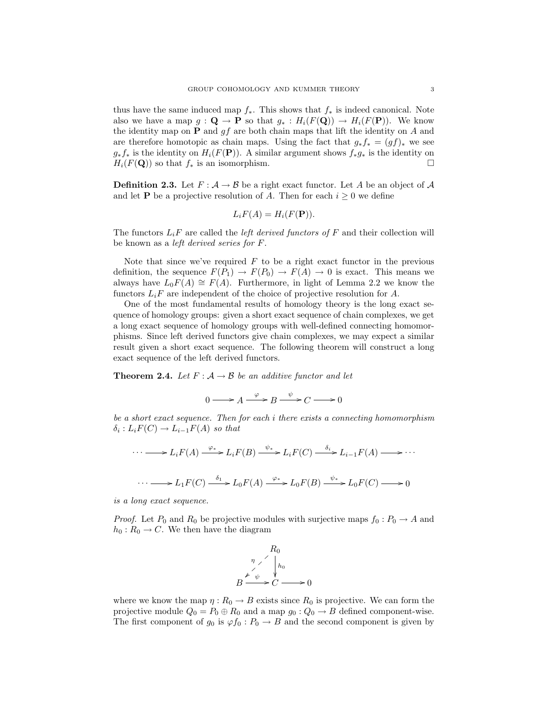thus have the same induced map  $f_*$ . This shows that  $f_*$  is indeed canonical. Note also we have a map  $g: \mathbf{Q} \to \mathbf{P}$  so that  $g_* : H_i(F(\mathbf{Q})) \to H_i(F(\mathbf{P}))$ . We know the identity map on  $P$  and  $gf$  are both chain maps that lift the identity on A and are therefore homotopic as chain maps. Using the fact that  $g_* f_* = (gf)_*$  we see  $g_*f_*$  is the identity on  $H_i(F(\mathbf{P}))$ . A similar argument shows  $f_*g_*$  is the identity on  $H_i(F(\mathbf{Q}))$  so that  $f_*$  is an isomorphism.

**Definition 2.3.** Let  $F : \mathcal{A} \to \mathcal{B}$  be a right exact functor. Let A be an object of A and let **P** be a projective resolution of A. Then for each  $i \geq 0$  we define

$$
L_iF(A) = H_i(F(\mathbf{P})).
$$

The functors  $L_i$  are called the *left derived functors of* F and their collection will be known as a left derived series for F.

Note that since we've required  $F$  to be a right exact functor in the previous definition, the sequence  $F(P_1) \to F(P_0) \to F(A) \to 0$  is exact. This means we always have  $L_0F(A) \cong F(A)$ . Furthermore, in light of Lemma 2.2 we know the functors  $L_i$  are independent of the choice of projective resolution for A.

One of the most fundamental results of homology theory is the long exact sequence of homology groups: given a short exact sequence of chain complexes, we get a long exact sequence of homology groups with well-defined connecting homomorphisms. Since left derived functors give chain complexes, we may expect a similar result given a short exact sequence. The following theorem will construct a long exact sequence of the left derived functors.

**Theorem 2.4.** Let  $F: A \rightarrow B$  be an additive functor and let

$$
0 \longrightarrow A \xrightarrow{\varphi} B \xrightarrow{\psi} C \longrightarrow 0
$$

be a short exact sequence. Then for each i there exists a connecting homomorphism  $\delta_i: L_iF(C) \to L_{i-1}F(A)$  so that

$$
\cdots \longrightarrow L_i F(A) \xrightarrow{\varphi_*} L_i F(B) \xrightarrow{\psi_*} L_i F(C) \xrightarrow{\delta_i} L_{i-1} F(A) \longrightarrow \cdots
$$
  

$$
\cdots \longrightarrow L_1 F(C) \xrightarrow{\delta_1} L_0 F(A) \xrightarrow{\varphi_*} L_0 F(B) \xrightarrow{\psi_*} L_0 F(C) \longrightarrow 0
$$

is a long exact sequence.

*Proof.* Let  $P_0$  and  $R_0$  be projective modules with surjective maps  $f_0: P_0 \to A$  and  $h_0: R_0 \to C$ . We then have the diagram



where we know the map  $\eta: R_0 \to B$  exists since  $R_0$  is projective. We can form the projective module  $Q_0 = P_0 \oplus R_0$  and a map  $g_0 : Q_0 \to B$  defined component-wise. The first component of  $g_0$  is  $\varphi f_0 : P_0 \to B$  and the second component is given by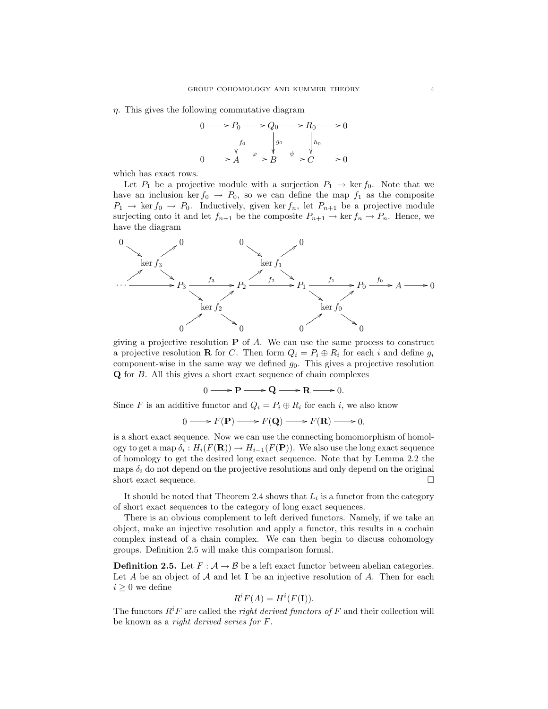$\eta$ . This gives the following commutative diagram



which has exact rows.

Let  $P_1$  be a projective module with a surjection  $P_1 \rightarrow \text{ker } f_0$ . Note that we have an inclusion ker  $f_0 \rightarrow P_0$ , so we can define the map  $f_1$  as the composite  $P_1 \rightarrow \text{ker } f_0 \rightarrow P_0$ . Inductively, given ker  $f_n$ , let  $P_{n+1}$  be a projective module surjecting onto it and let  $f_{n+1}$  be the composite  $P_{n+1} \to \text{ker } f_n \to P_n$ . Hence, we have the diagram



giving a projective resolution  $P$  of A. We can use the same process to construct a projective resolution **R** for C. Then form  $Q_i = P_i \oplus R_i$  for each i and define  $g_i$ component-wise in the same way we defined  $g_0$ . This gives a projective resolution Q for B. All this gives a short exact sequence of chain complexes

 $0 \longrightarrow P \longrightarrow Q \longrightarrow R \longrightarrow 0.$ 

Since F is an additive functor and  $Q_i = P_i \oplus R_i$  for each i, we also know

$$
0 \longrightarrow F(\mathbf{P}) \longrightarrow F(\mathbf{Q}) \longrightarrow F(\mathbf{R}) \longrightarrow 0.
$$

is a short exact sequence. Now we can use the connecting homomorphism of homology to get a map  $\delta_i: H_i(F(\mathbf{R})) \to H_{i-1}(F(\mathbf{P}))$ . We also use the long exact sequence of homology to get the desired long exact sequence. Note that by Lemma 2.2 the maps  $\delta_i$  do not depend on the projective resolutions and only depend on the original short exact sequence.  $\hfill \square$ 

It should be noted that Theorem 2.4 shows that  $L_i$  is a functor from the category of short exact sequences to the category of long exact sequences.

There is an obvious complement to left derived functors. Namely, if we take an object, make an injective resolution and apply a functor, this results in a cochain complex instead of a chain complex. We can then begin to discuss cohomology groups. Definition 2.5 will make this comparison formal.

**Definition 2.5.** Let  $F : A \to B$  be a left exact functor between abelian categories. Let A be an object of  $A$  and let I be an injective resolution of A. Then for each  $i\geq 0$  we define

$$
R^i F(A) = H^i(F(\mathbf{I})).
$$

The functors  $R^iF$  are called the *right derived functors of* F and their collection will be known as a right derived series for F.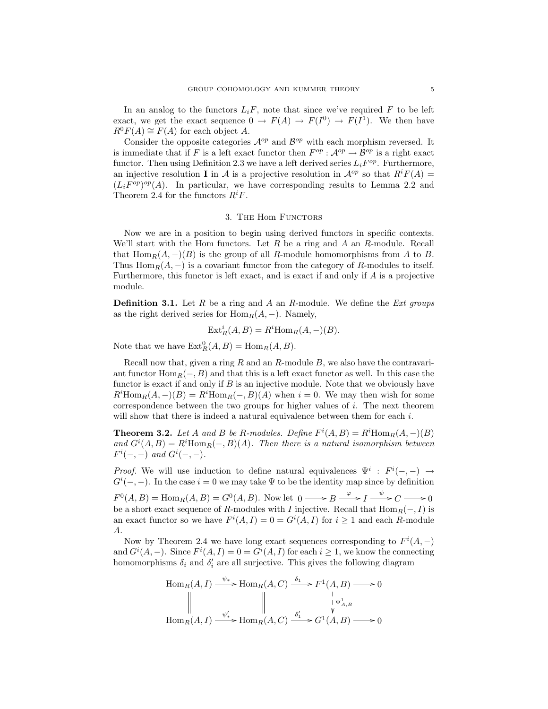In an analog to the functors  $L_iF$ , note that since we've required F to be left exact, we get the exact sequence  $0 \to F(A) \to F(I^0) \to F(I^1)$ . We then have  $R^0F(A) \cong F(A)$  for each object A.

Consider the opposite categories  $\mathcal{A}^{op}$  and  $\mathcal{B}^{op}$  with each morphism reversed. It is immediate that if F is a left exact functor then  $F^{op}$  :  $\mathcal{A}^{op} \to \mathcal{B}^{op}$  is a right exact functor. Then using Definition 2.3 we have a left derived series  $L_i F^{op}$ . Furthermore, an injective resolution I in A is a projective resolution in  $\mathcal{A}^{op}$  so that  $R^i F(A) =$  $(L_i F^{op})^{op}(A)$ . In particular, we have corresponding results to Lemma 2.2 and Theorem 2.4 for the functors  $R^i F$ .

### 3. The Hom Functors

Now we are in a position to begin using derived functors in specific contexts. We'll start with the Hom functors. Let  $R$  be a ring and  $A$  an  $R$ -module. Recall that  $\text{Hom}_R(A, -)(B)$  is the group of all R-module homomorphisms from A to B. Thus  $\text{Hom}_R(A, -)$  is a covariant functor from the category of R-modules to itself. Furthermore, this functor is left exact, and is exact if and only if A is a projective module.

**Definition 3.1.** Let R be a ring and A an R-module. We define the Ext groups as the right derived series for  $\text{Hom}_R(A, -)$ . Namely,

$$
Ext_R^i(A, B) = R^i \text{Hom}_R(A, -)(B).
$$

Note that we have  $\text{Ext}_{R}^{0}(A, B) = \text{Hom}_{R}(A, B).$ 

Recall now that, given a ring  $R$  and an  $R$ -module  $B$ , we also have the contravariant functor  $\text{Hom}_R(-, B)$  and that this is a left exact functor as well. In this case the functor is exact if and only if  $B$  is an injective module. Note that we obviously have  $R^{i}$ Hom $_{R}(A, -)(B) = R^{i}$ Hom $_{R}(-, B)(A)$  when  $i = 0$ . We may then wish for some correspondence between the two groups for higher values of  $i$ . The next theorem will show that there is indeed a natural equivalence between them for each  $i$ .

**Theorem 3.2.** Let A and B be R-modules. Define  $F^{i}(A, B) = R^{i}Hom_{R}(A, -)(B)$ and  $G^{i}(A, B) = R^{i}Hom_{R}(-, B)(A)$ . Then there is a natural isomorphism between  $F^{i}(-,-)$  and  $G^{i}(-,-)$ .

*Proof.* We will use induction to define natural equivalences  $\Psi^i : F^i(-,-) \rightarrow$  $G^{i}(-,-)$ . In the case  $i=0$  we may take  $\Psi$  to be the identity map since by definition  $F^0(A, B) = \text{Hom}_R(A, B) = G^0(A, B)$ . Now let  $0 \longrightarrow B \longrightarrow I \longrightarrow^{\varphi} C \longrightarrow 0$ be a short exact sequence of R-modules with I injective. Recall that  $\text{Hom}_R(-, I)$  is an exact functor so we have  $F^{i}(A, I) = 0 = G^{i}(A, I)$  for  $i \ge 1$  and each R-module A.

Now by Theorem 2.4 we have long exact sequences corresponding to  $F^{i}(A, -)$ and  $G^{i}(A, -)$ . Since  $F^{i}(A, I) = 0 = G^{i}(A, I)$  for each  $i \geq 1$ , we know the connecting homomorphisms  $\delta_i$  and  $\delta'_i$  are all surjective. This gives the following diagram

$$
\text{Hom}_R(A, I) \xrightarrow{\psi_*} \text{Hom}_R(A, C) \xrightarrow{\delta_1} F^1(A, B) \longrightarrow 0
$$
\n
$$
\parallel \qquad \qquad \parallel \qquad \qquad \downarrow \qquad \downarrow \downarrow \downarrow \downarrow \downarrow
$$
\n
$$
\text{Hom}_R(A, I) \xrightarrow{\psi'_*} \text{Hom}_R(A, C) \xrightarrow{\delta'_1} G^1(A, B) \longrightarrow 0
$$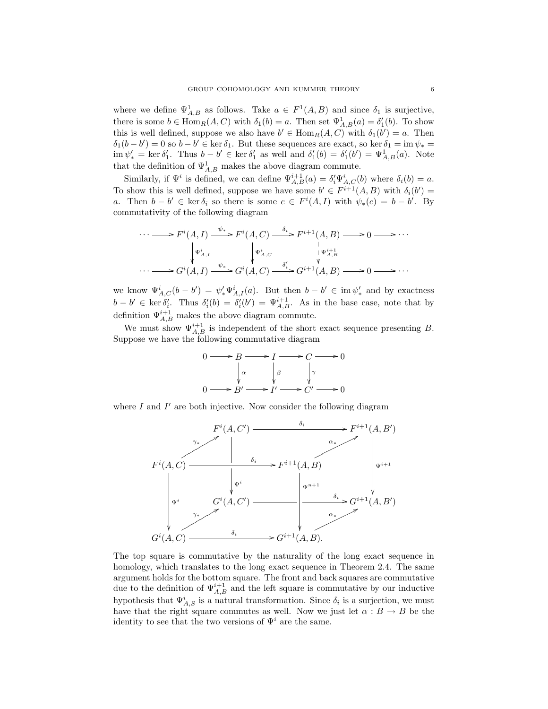where we define  $\Psi_{A,B}^1$  as follows. Take  $a \in F^1(A,B)$  and since  $\delta_1$  is surjective, there is some  $b \in \text{Hom}_{R}(A, C)$  with  $\delta_1(b) = a$ . Then set  $\Psi^1_{A, B}(a) = \delta'_1(b)$ . To show this is well defined, suppose we also have  $b' \in \text{Hom}_R(A, C)$  with  $\delta_1(b') = a$ . Then  $\delta_1(b-b')=0$  so  $b-b'\in \ker \delta_1$ . But these sequences are exact, so ker  $\delta_1=\lim_{k\to\infty} \psi_*=0$  $\lim \psi'_* = \ker \delta'_1$ . Thus  $b - b' \in \ker \delta'_1$  as well and  $\delta'_1(b) = \delta'_1(b') = \Psi^1_{A,B}(a)$ . Note that the definition of  $\Psi^1_{A,B}$  makes the above diagram commute.

Similarly, if  $\Psi^i$  is defined, we can define  $\Psi_{A,B}^{i+1}(a) = \delta_i' \Psi_{A,C}^i(b)$  where  $\delta_i(b) = a$ . To show this is well defined, suppose we have some  $b' \in F^{i+1}(A, B)$  with  $\delta_i(b') =$ a. Then  $b - b' \in \text{ker } \delta_i$  so there is some  $c \in F^i(A, I)$  with  $\psi_*(c) = b - b'$ . By commutativity of the following diagram

$$
\cdots \longrightarrow F^{i}(A, I) \xrightarrow{\psi_{*}} F^{i}(A, C) \xrightarrow{\delta_{i}} F^{i+1}(A, B) \longrightarrow 0 \longrightarrow \cdots
$$
  
\n
$$
\downarrow \Psi^{i}_{A, I} \qquad \qquad \downarrow \Psi^{i}_{A, C} \qquad \qquad \downarrow \Psi^{i+1}_{A, B}
$$
  
\n
$$
\cdots \longrightarrow G^{i}(A, I) \xrightarrow{\psi_{*}} G^{i}(A, C) \xrightarrow{\delta'_{i}} G^{i+1}(A, B) \longrightarrow 0 \longrightarrow \cdots
$$

we know  $\Psi_{A,C}^{i}(b-b') = \psi_{*}'\Psi_{A,I}^{i}(a)$ . But then  $b-b' \in \text{im } \psi_{*}'$  and by exactness  $b-b' \in \text{ker } \delta_i'$ . Thus  $\delta_i'(b) = \delta_i'(b') = \Psi_{A,B}^{i+1}$ . As in the base case, note that by definition  $\Psi_{A,B}^{i+1}$  makes the above diagram commute.

We must show  $\Psi_{A,B}^{i+1}$  is independent of the short exact sequence presenting B. Suppose we have the following commutative diagram



where  $I$  and  $I'$  are both injective. Now consider the following diagram



The top square is commutative by the naturality of the long exact sequence in homology, which translates to the long exact sequence in Theorem 2.4. The same argument holds for the bottom square. The front and back squares are commutative due to the definition of  $\Psi_{A,B}^{i+1}$  and the left square is commutative by our inductive hypothesis that  $\Psi_{A,S}^{i}$  is a natural transformation. Since  $\delta_{i}$  is a surjection, we must have that the right square commutes as well. Now we just let  $\alpha : B \to B$  be the identity to see that the two versions of  $\Psi^i$  are the same.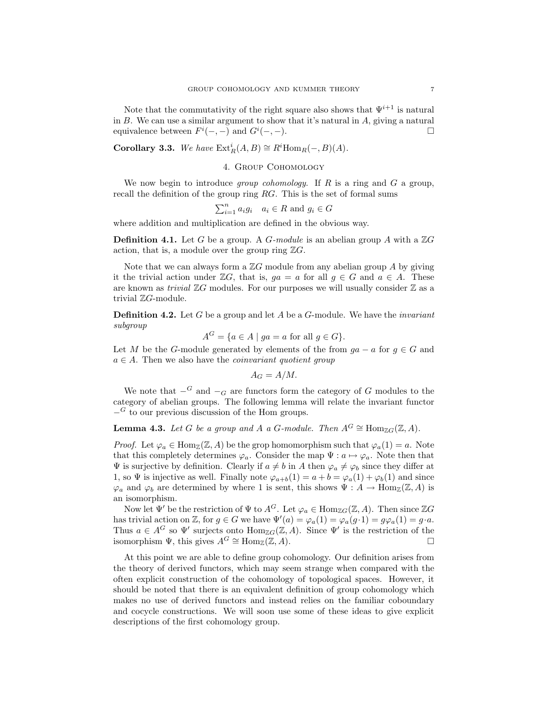Note that the commutativity of the right square also shows that  $\Psi^{i+1}$  is natural in  $B$ . We can use a similar argument to show that it's natural in  $A$ , giving a natural equivalence between  $F^{i}(-,-)$  and  $G^{i}(-,-)$ .

Corollary 3.3. We have  $\text{Ext}^i_R(A, B) \cong R^i \text{Hom}_R(-, B)(A)$ .

### 4. Group Cohomology

We now begin to introduce *group cohomology*. If  $R$  is a ring and  $G$  a group, recall the definition of the group ring RG. This is the set of formal sums

$$
\sum_{i=1}^{n} a_i g_i \quad a_i \in R \text{ and } g_i \in G
$$

where addition and multiplication are defined in the obvious way.

**Definition 4.1.** Let G be a group. A G-module is an abelian group A with a  $\mathbb{Z}G$ action, that is, a module over the group ring  $\mathbb{Z}G$ .

Note that we can always form a  $\mathbb{Z}G$  module from any abelian group A by giving it the trivial action under  $\mathbb{Z}G$ , that is,  $qa = a$  for all  $q \in G$  and  $a \in A$ . These are known as *trivial*  $\mathbb{Z}G$  modules. For our purposes we will usually consider  $\mathbb{Z}$  as a trivial ZG-module.

**Definition 4.2.** Let  $G$  be a group and let  $A$  be a  $G$ -module. We have the *invariant* subgroup

$$
A^G = \{ a \in A \mid ga = a \text{ for all } g \in G \}.
$$

Let M be the G-module generated by elements of the from  $ga - a$  for  $g \in G$  and  $a \in A$ . Then we also have the *coinvariant quotient group* 

$$
A_G = A/M.
$$

We note that  $-G$  and  $-G$  are functors form the category of G modules to the category of abelian groups. The following lemma will relate the invariant functor  $-$ <sup>G</sup> to our previous discussion of the Hom groups.

**Lemma 4.3.** Let G be a group and A a G-module. Then  $A^G \cong \text{Hom}_{\mathbb{Z}G}(\mathbb{Z}, A)$ .

*Proof.* Let  $\varphi_a \in \text{Hom}_{\mathbb{Z}}(\mathbb{Z}, A)$  be the grop homomorphism such that  $\varphi_a(1) = a$ . Note that this completely determines  $\varphi_a$ . Consider the map  $\Psi : a \mapsto \varphi_a$ . Note then that  $\Psi$  is surjective by definition. Clearly if  $a \neq b$  in A then  $\varphi_a \neq \varphi_b$  since they differ at 1, so  $\Psi$  is injective as well. Finally note  $\varphi_{a+b}(1) = a + b = \varphi_a(1) + \varphi_b(1)$  and since  $\varphi_a$  and  $\varphi_b$  are determined by where 1 is sent, this shows  $\Psi : A \to \text{Hom}_{\mathbb{Z}}(\mathbb{Z}, A)$  is an isomorphism.

Now let  $\Psi'$  be the restriction of  $\Psi$  to  $A^G$ . Let  $\varphi_a \in \text{Hom}_{\mathbb{Z}G}(\mathbb{Z}, A)$ . Then since  $\mathbb{Z}G$ has trivial action on Z, for  $g \in G$  we have  $\Psi'(a) = \varphi_a(1) = \varphi_a(g \cdot 1) = g \varphi_a(1) = g \cdot a$ . Thus  $a \in A^G$  so  $\Psi'$  surjects onto  $\text{Hom}_{\mathbb{Z}G}(\mathbb{Z}, A)$ . Since  $\Psi'$  is the restriction of the isomorphism  $\Psi$ , this gives  $A^G \cong \text{Hom}_{\mathbb{Z}}(\mathbb{Z}, A)$ .

At this point we are able to define group cohomology. Our definition arises from the theory of derived functors, which may seem strange when compared with the often explicit construction of the cohomology of topological spaces. However, it should be noted that there is an equivalent definition of group cohomology which makes no use of derived functors and instead relies on the familiar coboundary and cocycle constructions. We will soon use some of these ideas to give explicit descriptions of the first cohomology group.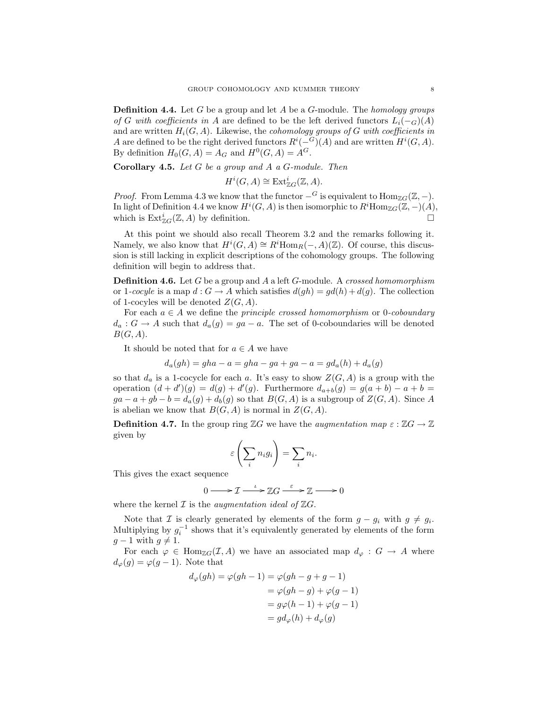**Definition 4.4.** Let G be a group and let A be a G-module. The *homology groups* of G with coefficients in A are defined to be the left derived functors  $L_i(-G)(A)$ and are written  $H_i(G, A)$ . Likewise, the *cohomology groups of G with coefficients in* A are defined to be the right derived functors  $R^{i}(-<sup>G</sup>)(A)$  and are written  $H^{i}(G, A)$ . By definition  $H_0(G, A) = A_G$  and  $H^0(G, A) = A^G$ .

**Corollary 4.5.** Let  $G$  be a group and  $A$  a  $G$ -module. Then

$$
H^{i}(G, A) \cong \text{Ext}^{i}_{\mathbb{Z}G}(\mathbb{Z}, A).
$$

*Proof.* From Lemma 4.3 we know that the functor  $-G$  is equivalent to  $\text{Hom}_{\mathbb{Z}G}(\mathbb{Z}, -)$ . In light of Definition 4.4 we know  $H^i(G, A)$  is then isomorphic to  $R^i$ Hom $_{\mathbb{Z}G}(\mathbb{Z}, -)(A)$ , which is  $\text{Ext}^i_{\mathbb{Z}G}(\mathbb{Z},A)$  by definition.

At this point we should also recall Theorem 3.2 and the remarks following it. Namely, we also know that  $H^i(G, A) \cong R^i \text{Hom}_R(-, A)(\mathbb{Z})$ . Of course, this discussion is still lacking in explicit descriptions of the cohomology groups. The following definition will begin to address that.

**Definition 4.6.** Let  $G$  be a group and  $A$  a left  $G$ -module. A crossed homomorphism or 1-cocyle is a map  $d: G \to A$  which satisfies  $d(gh) = gd(h) + d(g)$ . The collection of 1-cocyles will be denoted  $Z(G, A)$ .

For each  $a \in A$  we define the *principle crossed homomorphism* or 0-*coboundary*  $d_a: G \to A$  such that  $d_a(g) = ga - a$ . The set of 0-coboundaries will be denoted  $B(G, A).$ 

It should be noted that for  $a \in A$  we have

$$
d_a(gh) = gha - a = gha - ga + ga - a = gd_a(h) + d_a(g)
$$

so that  $d_a$  is a 1-cocycle for each a. It's easy to show  $Z(G, A)$  is a group with the operation  $(d + d')(g) = d(g) + d'(g)$ . Furthermore  $d_{a+b}(g) = g(a + b) - a + b =$  $ga - a + gb - b = d_a(g) + d_b(g)$  so that  $B(G, A)$  is a subgroup of  $Z(G, A)$ . Since A is abelian we know that  $B(G, A)$  is normal in  $Z(G, A)$ .

**Definition 4.7.** In the group ring  $\mathbb{Z}G$  we have the *augmentation map*  $\varepsilon : \mathbb{Z}G \to \mathbb{Z}$ given by

$$
\varepsilon\left(\sum_i n_i g_i\right) = \sum_i n_i.
$$

This gives the exact sequence

$$
0 \longrightarrow \mathcal{I} \xrightarrow{\iota} \mathbb{Z}G \xrightarrow{\varepsilon} \mathbb{Z} \longrightarrow 0
$$

where the kernel  $\mathcal I$  is the *augmentation ideal of*  $\mathbb ZG$ .

Note that  $\mathcal I$  is clearly generated by elements of the form  $g - g_i$  with  $g \neq g_i$ . Multiplying by  $g_i^{-1}$  shows that it's equivalently generated by elements of the form  $g - 1$  with  $g \neq 1$ .

For each  $\varphi \in \text{Hom}_{\mathbb{Z}G}(\mathcal{I},A)$  we have an associated map  $d_{\varphi}: G \to A$  where  $d_{\varphi}(g) = \varphi(g-1)$ . Note that

$$
d_{\varphi}(gh) = \varphi(gh - 1) = \varphi(gh - g + g - 1)
$$
  
=  $\varphi(gh - g) + \varphi(g - 1)$   
=  $g\varphi(h - 1) + \varphi(g - 1)$   
=  $gd_{\varphi}(h) + d_{\varphi}(g)$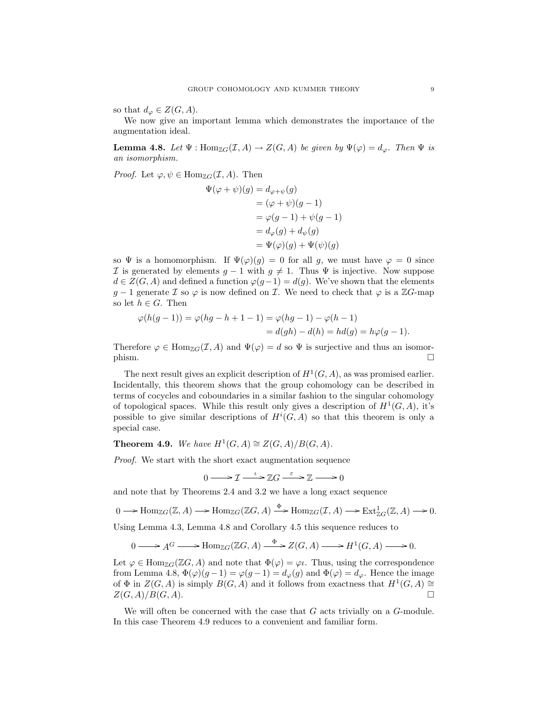so that  $d_{\varphi} \in Z(G, A)$ .

We now give an important lemma which demonstrates the importance of the augmentation ideal.

**Lemma 4.8.** Let  $\Psi$  : Hom<sub>ZG</sub> $(\mathcal{I}, A) \to Z(G, A)$  be given by  $\Psi(\varphi) = d_{\varphi}$ . Then  $\Psi$  is an isomorphism.

*Proof.* Let  $\varphi, \psi \in \text{Hom}_{\mathbb{Z}G}(\mathcal{I}, A)$ . Then

$$
\Psi(\varphi + \psi)(g) = d_{\varphi + \psi}(g)
$$
  
= (\varphi + \psi)(g - 1)  
= \varphi(g - 1) + \psi(g - 1)  
= d\_{\varphi}(g) + d\_{\psi}(g)  
= \Psi(\varphi)(g) + \Psi(\psi)(g)

so  $\Psi$  is a homomorphism. If  $\Psi(\varphi)(g) = 0$  for all g, we must have  $\varphi = 0$  since I is generated by elements  $g - 1$  with  $g \neq 1$ . Thus  $\Psi$  is injective. Now suppose  $d \in Z(G, A)$  and defined a function  $\varphi(g-1) = d(g)$ . We've shown that the elements  $g-1$  generate  $\mathcal I$  so  $\varphi$  is now defined on  $\mathcal I$ . We need to check that  $\varphi$  is a  $\mathbb ZG$ -map so let  $h \in G$ . Then

$$
\varphi(h(g-1)) = \varphi(hg - h + 1 - 1) = \varphi(hg - 1) - \varphi(h - 1) = d(gh) - d(h) = hd(g) = h\varphi(g - 1).
$$

Therefore  $\varphi \in \text{Hom}_{\mathbb{Z}G}(\mathcal{I}, A)$  and  $\Psi(\varphi) = d$  so  $\Psi$  is surjective and thus an isomor- $\Box$ 

The next result gives an explicit description of  $H^1(G, A)$ , as was promised earlier. Incidentally, this theorem shows that the group cohomology can be described in terms of cocycles and coboundaries in a similar fashion to the singular cohomology of topological spaces. While this result only gives a description of  $H^1(G, A)$ , it's possible to give similar descriptions of  $H^i(G, A)$  so that this theorem is only a special case.

**Theorem 4.9.** We have  $H^1(G, A) \cong Z(G, A)/B(G, A)$ .

Proof. We start with the short exact augmentation sequence

$$
0 \longrightarrow \mathcal{I} \xrightarrow{\iota} \mathbb{Z}G \xrightarrow{\varepsilon} \mathbb{Z} \longrightarrow 0
$$

and note that by Theorems 2.4 and 3.2 we have a long exact sequence

$$
0 \longrightarrow \text{Hom}_{\mathbb{Z}G}(\mathbb{Z}, A) \longrightarrow \text{Hom}_{\mathbb{Z}G}(\mathbb{Z}G, A) \stackrel{\Phi}{\longrightarrow} \text{Hom}_{\mathbb{Z}G}(\mathcal{I}, A) \longrightarrow \text{Ext}^1_{\mathbb{Z}G}(\mathbb{Z}, A) \longrightarrow 0.
$$

Using Lemma 4.3, Lemma 4.8 and Corollary 4.5 this sequence reduces to

$$
0 \longrightarrow A^G \longrightarrow \text{Hom}_{\mathbb{Z}G}(\mathbb{Z}G, A) \longrightarrow \text{Z}(G, A) \longrightarrow H^1(G, A) \longrightarrow 0.
$$

Let  $\varphi \in \text{Hom}_{\mathbb{Z}G}(\mathbb{Z}G, A)$  and note that  $\Phi(\varphi) = \varphi \iota$ . Thus, using the correspondence from Lemma 4.8,  $\Phi(\varphi)(g-1) = \varphi(g-1) = d_{\varphi}(g)$  and  $\Phi(\varphi) = d_{\varphi}$ . Hence the image of  $\Phi$  in  $Z(G, A)$  is simply  $B(G, A)$  and it follows from exactness that  $H^1(G, A) \cong$  $Z(G, A)/B(G, A).$ 

We will often be concerned with the case that  $G$  acts trivially on a  $G$ -module. In this case Theorem 4.9 reduces to a convenient and familiar form.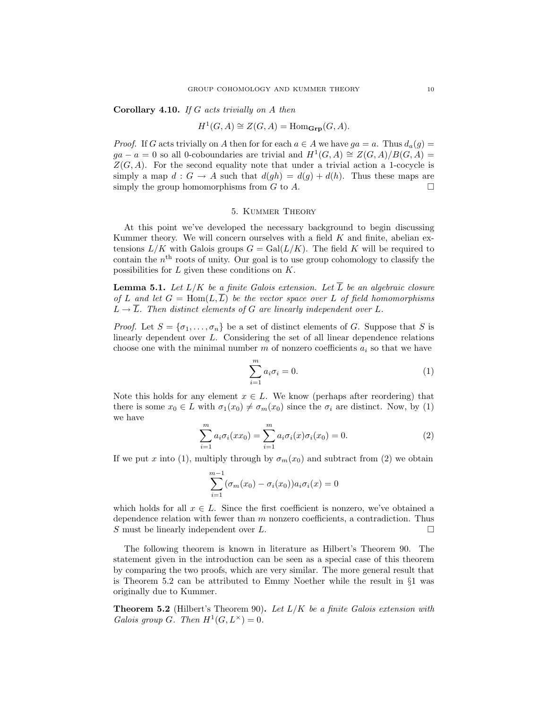Corollary 4.10. If G acts trivially on A then

$$
H^1(G, A) \cong Z(G, A) = \text{Hom}_{\mathbf{Grp}}(G, A).
$$

*Proof.* If G acts trivially on A then for for each  $a \in A$  we have  $ga = a$ . Thus  $d_a(g) = a$  $ga - a = 0$  so all 0-coboundaries are trivial and  $H^1(G, A) \cong Z(G, A)/B(G, A) =$  $Z(G, A)$ . For the second equality note that under a trivial action a 1-cocycle is simply a map  $d : G \to A$  such that  $d(gh) = d(g) + d(h)$ . Thus these maps are simply the group homomorphisms from  $G$  to  $A$ .

### 5. Kummer Theory

At this point we've developed the necessary background to begin discussing Kummer theory. We will concern ourselves with a field  $K$  and finite, abelian extensions  $L/K$  with Galois groups  $G = \text{Gal}(L/K)$ . The field K will be required to contain the  $n<sup>th</sup>$  roots of unity. Our goal is to use group cohomology to classify the possibilities for  $L$  given these conditions on  $K$ .

**Lemma 5.1.** Let  $L/K$  be a finite Galois extension. Let  $\overline{L}$  be an algebraic closure of L and let  $G = \text{Hom}(L,\overline{L})$  be the vector space over L of field homomorphisms  $L \rightarrow \overline{L}$ . Then distinct elements of G are linearly independent over L.

*Proof.* Let  $S = {\sigma_1, ..., \sigma_n}$  be a set of distinct elements of G. Suppose that S is linearly dependent over L. Considering the set of all linear dependence relations choose one with the minimal number  $m$  of nonzero coefficients  $a_i$  so that we have

$$
\sum_{i=1}^{m} a_i \sigma_i = 0.
$$
 (1)

Note this holds for any element  $x \in L$ . We know (perhaps after reordering) that there is some  $x_0 \in L$  with  $\sigma_1(x_0) \neq \sigma_m(x_0)$  since the  $\sigma_i$  are distinct. Now, by (1) we have

$$
\sum_{i=1}^{m} a_i \sigma_i (xx_0) = \sum_{i=1}^{m} a_i \sigma_i (x) \sigma_i (x_0) = 0.
$$
 (2)

If we put x into (1), multiply through by  $\sigma_m(x_0)$  and subtract from (2) we obtain

$$
\sum_{i=1}^{m-1} (\sigma_m(x_0) - \sigma_i(x_0)) a_i \sigma_i(x) = 0
$$

which holds for all  $x \in L$ . Since the first coefficient is nonzero, we've obtained a dependence relation with fewer than  $m$  nonzero coefficients, a contradiction. Thus S must be linearly independent over L.

The following theorem is known in literature as Hilbert's Theorem 90. The statement given in the introduction can be seen as a special case of this theorem by comparing the two proofs, which are very similar. The more general result that is Theorem 5.2 can be attributed to Emmy Noether while the result in  $\S1$  was originally due to Kummer.

**Theorem 5.2** (Hilbert's Theorem 90). Let  $L/K$  be a finite Galois extension with Galois group G. Then  $H^1(G, L^{\times}) = 0$ .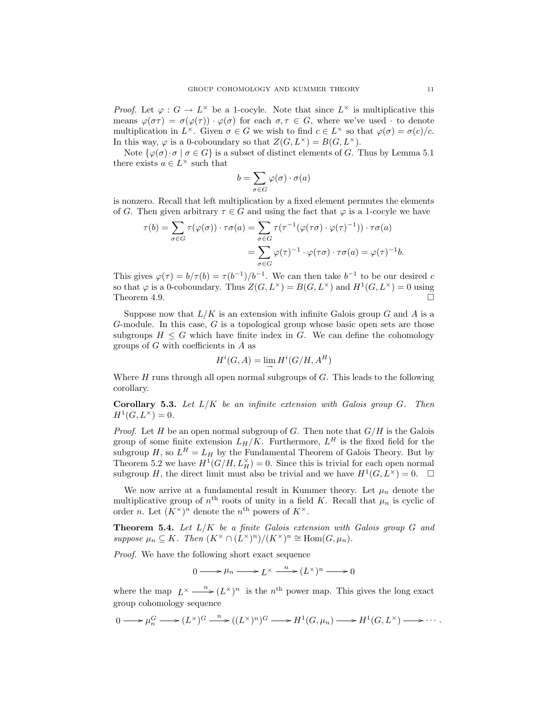*Proof.* Let  $\varphi: G \to L^{\times}$  be a 1-cocyle. Note that since  $L^{\times}$  is multiplicative this means  $\varphi(\sigma\tau) = \sigma(\varphi(\tau)) \cdot \varphi(\sigma)$  for each  $\sigma, \tau \in G$ , where we've used  $\cdot$  to denote multiplication in  $L^{\times}$ . Given  $\sigma \in G$  we wish to find  $c \in L^{\times}$  so that  $\varphi(\sigma) = \sigma(c)/c$ . In this way,  $\varphi$  is a 0-coboundary so that  $Z(G, L^{\times}) = B(G, L^{\times})$ .

Note  $\{\varphi(\sigma) \cdot \sigma \mid \sigma \in G\}$  is a subset of distinct elements of G. Thus by Lemma 5.1 there exists  $a \in L^{\times}$  such that

$$
b = \sum_{\sigma \in G} \varphi(\sigma) \cdot \sigma(a)
$$

is nonzero. Recall that left multiplication by a fixed element permutes the elements of G. Then given arbitrary  $\tau \in G$  and using the fact that  $\varphi$  is a 1-cocyle we have

$$
\tau(b) = \sum_{\sigma \in G} \tau(\varphi(\sigma)) \cdot \tau\sigma(a) = \sum_{\sigma \in G} \tau(\tau^{-1}(\varphi(\tau\sigma) \cdot \varphi(\tau)^{-1})) \cdot \tau\sigma(a)
$$

$$
= \sum_{\sigma \in G} \varphi(\tau)^{-1} \cdot \varphi(\tau\sigma) \cdot \tau\sigma(a) = \varphi(\tau)^{-1}b.
$$

This gives  $\varphi(\tau) = b/\tau(b) = \tau(b^{-1})/b^{-1}$ . We can then take  $b^{-1}$  to be our desired c so that  $\varphi$  is a 0-coboundary. Thus  $Z(G, L^{\times}) = B(G, L^{\times})$  and  $H^1(G, L^{\times}) = 0$  using Theorem 4.9.  $\Box$ 

Suppose now that  $L/K$  is an extension with infinite Galois group G and A is a G-module. In this case, G is a topological group whose basic open sets are those subgroups  $H \leq G$  which have finite index in G. We can define the cohomology groups of  $G$  with coefficients in  $A$  as

$$
H^i(G, A) = \lim_{\rightarrow} H^i(G/H, A^H)
$$

Where  $H$  runs through all open normal subgroups of  $G$ . This leads to the following corollary.

**Corollary 5.3.** Let  $L/K$  be an infinite extension with Galois group  $G$ . Then  $H^1(G, L^{\times}) = 0.$ 

*Proof.* Let H be an open normal subgroup of G. Then note that  $G/H$  is the Galois group of some finite extension  $L_H/K$ . Furthermore,  $L^H$  is the fixed field for the subgroup  $H$ , so  $L^H = L_H$  by the Fundamental Theorem of Galois Theory. But by Theorem 5.2 we have  $H^1(G/H, L_H^{\times}) = 0$ . Since this is trivial for each open normal subgroup H, the direct limit must also be trivial and we have  $H^1(G, L^{\times}) = 0$ .  $\Box$ 

We now arrive at a fundamental result in Kummer theory. Let  $\mu_n$  denote the multiplicative group of  $n<sup>th</sup>$  roots of unity in a field K. Recall that  $\mu_n$  is cyclic of order *n*. Let  $(K^{\times})^n$  denote the *n*<sup>th</sup> powers of  $K^{\times}$ .

**Theorem 5.4.** Let  $L/K$  be a finite Galois extension with Galois group G and suppose  $\mu_n \subseteq K$ . Then  $(K^{\times} \cap (L^{\times})^n)/(K^{\times})^n \cong \text{Hom}(G, \mu_n)$ .

Proof. We have the following short exact sequence

 $0 \longrightarrow \mu_n \longrightarrow L^{\times} \stackrel{n}{\longrightarrow} (L^{\times})^n \longrightarrow 0$ 

where the map  $L^{\times} \longrightarrow L^{\times}$  is the n<sup>th</sup> power map. This gives the long exact group cohomology sequence

$$
0 \longrightarrow \mu_n^G \longrightarrow (L^{\times})^G \stackrel{n}{\longrightarrow} ((L^{\times})^n)^G \longrightarrow H^1(G, \mu_n) \longrightarrow H^1(G, L^{\times}) \longrightarrow \cdots
$$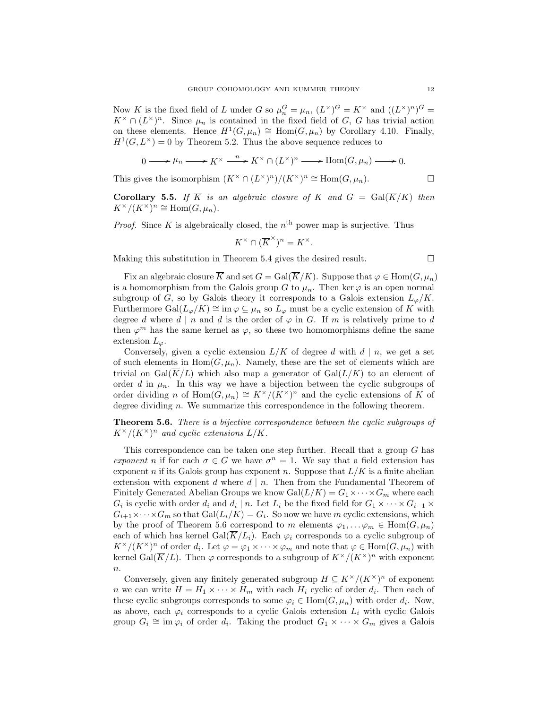Now K is the fixed field of L under G so  $\mu_n^G = \mu_n$ ,  $(L^{\times})^G = K^{\times}$  and  $((L^{\times})^n)^G =$  $K^{\times} \cap (L^{\times})^n$ . Since  $\mu_n$  is contained in the fixed field of G, G has trivial action on these elements. Hence  $H^1(G,\mu_n) \cong \text{Hom}(G,\mu_n)$  by Corollary 4.10. Finally,  $H^1(G, L^{\times}) = 0$  by Theorem 5.2. Thus the above sequence reduces to

$$
0 \longrightarrow \mu_n \longrightarrow K^{\times} \xrightarrow{n} K^{\times} \cap (L^{\times})^n \longrightarrow \text{Hom}(G, \mu_n) \longrightarrow 0.
$$

This gives the isomorphism  $(K^{\times} \cap (L^{\times})^n)/(K^{\times})^n \cong \text{Hom}(G, \mu_n)$ .

**Corollary 5.5.** If  $\overline{K}$  is an algebraic closure of K and  $G = \text{Gal}(\overline{K}/K)$  then  $K^{\times}/(K^{\times})^n \cong \text{Hom}(G,\mu_n).$ 

*Proof.* Since  $\overline{K}$  is algebraically closed, the n<sup>th</sup> power map is surjective. Thus

$$
K^{\times} \cap (\overline{K}^{\times})^n = K^{\times}.
$$

Making this substitution in Theorem 5.4 gives the desired result.  $\Box$ 

Fix an algebraic closure  $\overline{K}$  and set  $G = \text{Gal}(\overline{K}/K)$ . Suppose that  $\varphi \in \text{Hom}(G, \mu_n)$ is a homomorphism from the Galois group G to  $\mu_n$ . Then ker  $\varphi$  is an open normal subgroup of G, so by Galois theory it corresponds to a Galois extension  $L_{\varphi}/K$ . Furthermore Gal $(L_{\varphi}/K) \cong \text{im } \varphi \subseteq \mu_n$  so  $L_{\varphi}$  must be a cyclic extension of K with degree d where  $d | n$  and d is the order of  $\varphi$  in G. If m is relatively prime to d then  $\varphi^m$  has the same kernel as  $\varphi$ , so these two homomorphisms define the same extension  $L_{\varphi}$ .

Conversely, given a cyclic extension  $L/K$  of degree d with  $d | n$ , we get a set of such elements in  $Hom(G, \mu_n)$ . Namely, these are the set of elements which are trivial on  $Gal(\overline{K}/L)$  which also map a generator of  $Gal(L/K)$  to an element of order d in  $\mu_n$ . In this way we have a bijection between the cyclic subgroups of order dividing n of Hom $(G, \mu_n) \cong K^\times/(K^\times)^n$  and the cyclic extensions of K of degree dividing n. We summarize this correspondence in the following theorem.

Theorem 5.6. There is a bijective correspondence between the cyclic subgroups of  $K^{\times}/(K^{\times})^n$  and cyclic extensions  $L/K$ .

This correspondence can be taken one step further. Recall that a group  $G$  has exponent n if for each  $\sigma \in G$  we have  $\sigma^n = 1$ . We say that a field extension has exponent n if its Galois group has exponent n. Suppose that  $L/K$  is a finite abelian extension with exponent  $d$  where  $d | n$ . Then from the Fundamental Theorem of Finitely Generated Abelian Groups we know  $Gal(L/K) = G_1 \times \cdots \times G_m$  where each  $G_i$  is cyclic with order  $d_i$  and  $d_i \mid n$ . Let  $L_i$  be the fixed field for  $G_1 \times \cdots \times G_{i-1} \times$  $G_{i+1} \times \cdots \times G_m$  so that  $Gal(L_i/K) = G_i$ . So now we have m cyclic extensions, which by the proof of Theorem 5.6 correspond to m elements  $\varphi_1, \ldots, \varphi_m \in \text{Hom}(G, \mu_n)$ each of which has kernel Gal $(\overline{K}/L_i)$ . Each  $\varphi_i$  corresponds to a cyclic subgroup of  $K^{\times}/(K^{\times})^n$  of order  $d_i$ . Let  $\varphi = \varphi_1 \times \cdots \times \varphi_m$  and note that  $\varphi \in \text{Hom}(G, \mu_n)$  with kernel Gal $(\overline{K}/L)$ . Then  $\varphi$  corresponds to a subgroup of  $K^{\times}/(K^{\times})^n$  with exponent  $\overline{n}$ .

Conversely, given any finitely generated subgroup  $H \subseteq K^{\times}/(K^{\times})^n$  of exponent *n* we can write  $H = H_1 \times \cdots \times H_m$  with each  $H_i$  cyclic of order  $d_i$ . Then each of these cyclic subgroups corresponds to some  $\varphi_i \in \text{Hom}(G, \mu_n)$  with order  $d_i$ . Now, as above, each  $\varphi_i$  corresponds to a cyclic Galois extension  $L_i$  with cyclic Galois group  $G_i \cong \text{im } \varphi_i$  of order  $d_i$ . Taking the product  $G_1 \times \cdots \times G_m$  gives a Galois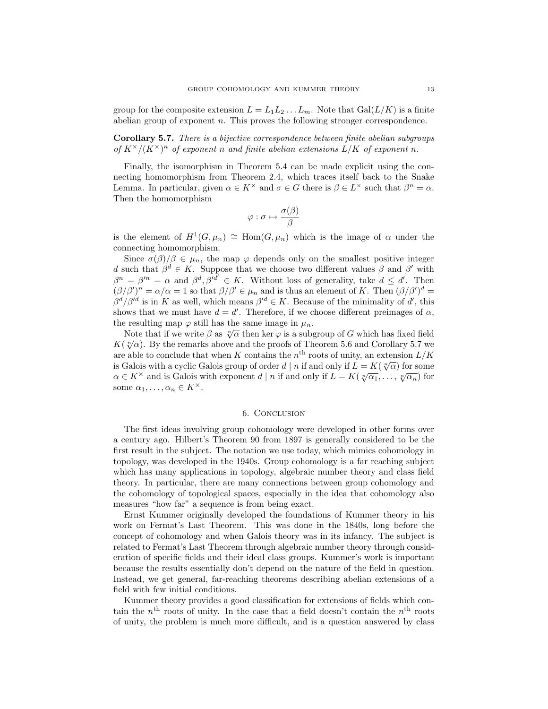group for the composite extension  $L = L_1 L_2 \dots L_m$ . Note that  $Gal(L/K)$  is a finite abelian group of exponent n. This proves the following stronger correspondence.

Corollary 5.7. There is a bijective correspondence between finite abelian subgroups of  $K^{\times}/(K^{\times})^n$  of exponent n and finite abelian extensions  $L/K$  of exponent n.

Finally, the isomorphism in Theorem 5.4 can be made explicit using the connecting homomorphism from Theorem 2.4, which traces itself back to the Snake Lemma. In particular, given  $\alpha \in K^{\times}$  and  $\sigma \in G$  there is  $\beta \in L^{\times}$  such that  $\beta^{n} = \alpha$ . Then the homomorphism

$$
\varphi : \sigma \mapsto \frac{\sigma(\beta)}{\beta}
$$

is the element of  $H^1(G,\mu_n) \cong \text{Hom}(G,\mu_n)$  which is the image of  $\alpha$  under the connecting homomorphism.

Since  $\sigma(\beta)/\beta \in \mu_n$ , the map  $\varphi$  depends only on the smallest positive integer d such that  $\beta^d \in K$ . Suppose that we choose two different values  $\beta$  and  $\beta'$  with  $\beta^{n} = \beta^{\prime n} = \alpha$  and  $\beta^{d}, \beta^{\prime} \overline{d}^{\prime} \in K$ . Without loss of generality, take  $d \leq d'$ . Then  $(\beta/\beta')^n = \alpha/\alpha = 1$  so that  $\beta/\beta' \in \mu_n$  and is thus an element of K. Then  $(\beta/\beta')^d =$  $\beta^d/\beta'^d$  is in K as well, which means  $\beta'^d \in K$ . Because of the minimality of d', this shows that we must have  $d = d'$ . Therefore, if we choose different preimages of  $\alpha$ , the resulting map  $\varphi$  still has the same image in  $\mu_n$ .

Note that if we write  $\beta$  as  $\sqrt[n]{\alpha}$  then ker  $\varphi$  is a subgroup of G which has fixed field Note that if we write  $\rho$  as  $\sqrt{\alpha}$  then ket  $\varphi$  is a subgroup of G which has fixed field  $K(\sqrt[n]{\alpha})$ . By the remarks above and the proofs of Theorem 5.6 and Corollary 5.7 we are able to conclude that when K contains the  $n<sup>th</sup>$  roots of unity, an extension  $L/K$ is Galois with a cyclic Galois group of order  $d | n$  if and only if  $L = K(\sqrt[n]{\alpha})$  for some as Galois with a cyclic Galois group of order  $u \mid n$  if and only if  $L = K(\sqrt[n]{\alpha_1}, \ldots, \sqrt[n]{\alpha_n})$  for  $\alpha \in K^{\times}$  and is Galois with exponent  $d \mid n$  if and only if  $L = K(\sqrt[n]{\alpha_1}, \ldots, \sqrt[n]{\alpha_n})$  for some  $\alpha_1, \ldots, \alpha_n \in K^{\times}$ .

### 6. Conclusion

The first ideas involving group cohomology were developed in other forms over a century ago. Hilbert's Theorem 90 from 1897 is generally considered to be the first result in the subject. The notation we use today, which mimics cohomology in topology, was developed in the 1940s. Group cohomology is a far reaching subject which has many applications in topology, algebraic number theory and class field theory. In particular, there are many connections between group cohomology and the cohomology of topological spaces, especially in the idea that cohomology also measures "how far" a sequence is from being exact.

Ernst Kummer originally developed the foundations of Kummer theory in his work on Fermat's Last Theorem. This was done in the 1840s, long before the concept of cohomology and when Galois theory was in its infancy. The subject is related to Fermat's Last Theorem through algebraic number theory through consideration of specific fields and their ideal class groups. Kummer's work is important because the results essentially don't depend on the nature of the field in question. Instead, we get general, far-reaching theorems describing abelian extensions of a field with few initial conditions.

Kummer theory provides a good classification for extensions of fields which contain the  $n<sup>th</sup>$  roots of unity. In the case that a field doesn't contain the  $n<sup>th</sup>$  roots of unity, the problem is much more difficult, and is a question answered by class